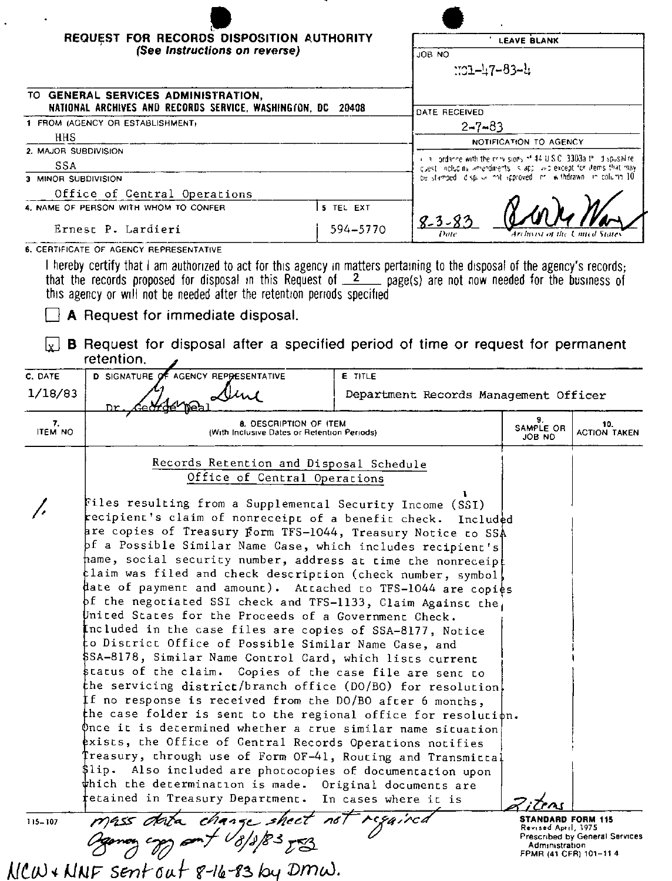|                      | REQUEST FOR RECORDS DISPOSITION AUTHORITY<br>(See Instructions on reverse)                                                                                                         | <b>LEAVE BLANK</b> |                                       |                                                                                                                                                                                                             |                            |  |
|----------------------|------------------------------------------------------------------------------------------------------------------------------------------------------------------------------------|--------------------|---------------------------------------|-------------------------------------------------------------------------------------------------------------------------------------------------------------------------------------------------------------|----------------------------|--|
|                      |                                                                                                                                                                                    |                    | ON GOL                                | <u> 11–14</u> 7–83–11                                                                                                                                                                                       |                            |  |
|                      | TO GENERAL SERVICES ADMINISTRATION,<br>NATIONAL ARCHIVES AND RECORDS SERVICE, WASHINGTON, DC                                                                                       | DATE RECEIVED      |                                       |                                                                                                                                                                                                             |                            |  |
|                      | 20408<br>1 FROM (AGENCY OR ESTABLISHMENT)                                                                                                                                          |                    |                                       | $2 - 7 - 83$                                                                                                                                                                                                |                            |  |
| HHS                  |                                                                                                                                                                                    |                    |                                       | NOTIFICATION TO AGENCY                                                                                                                                                                                      |                            |  |
| 2. MAJOR SUBDIVISION |                                                                                                                                                                                    |                    |                                       |                                                                                                                                                                                                             |                            |  |
| SSA                  |                                                                                                                                                                                    |                    |                                       | i is londance with the cray signs of 44 U.S.C. 3303a thi dispusalite.<br>guest including amendments is applicable except for items that may<br>be stamped id spikk instraproved in its thdrawn in column 10 |                            |  |
| 3 MINOR SUBDIVISION  |                                                                                                                                                                                    |                    |                                       |                                                                                                                                                                                                             |                            |  |
|                      | Office of Central Operations<br>4. NAME OF PERSON WITH WHOM TO CONFER                                                                                                              | 5 TFL FXT          | $8 - 3 - 87$                          |                                                                                                                                                                                                             |                            |  |
|                      | Ernest P. Lardieri                                                                                                                                                                 | 594-5770           |                                       |                                                                                                                                                                                                             |                            |  |
|                      | this agency or will not be needed after the retention periods specified                                                                                                            |                    |                                       | that the records proposed for disposal in this Request of $2$ page(s) are not now needed for the business of                                                                                                |                            |  |
|                      | A Request for immediate disposal.<br>B Request for disposal after a specified period of time or request for permanent<br>retention.<br><b>D SIGNATURE</b><br>AGENCY REPRESENTATIVE | E TITLE            |                                       |                                                                                                                                                                                                             |                            |  |
| C. DATE<br>1/18/83   |                                                                                                                                                                                    |                    | Department Records Management Officer |                                                                                                                                                                                                             |                            |  |
| 7.<br><b>ITEM NO</b> | 8. DESCRIPTION OF ITEM<br>(With Inclusive Dates or Retention Periods)                                                                                                              |                    |                                       | 9.<br>SAMPLE OR<br>JOB ND                                                                                                                                                                                   | 10.<br><b>ACTION TAKEN</b> |  |
|                      | Records Retention and Disposal Schedule<br>Office of Central Operations<br>Files resulting from a Supplemental Security Income (SSI)                                               |                    |                                       |                                                                                                                                                                                                             |                            |  |

 $\mathfrak b$ nce it is determined whether a true similar name situation $\vert$ exists, the Office of Central Records Operations notifies Treasury, through use of Form OF-41, Routing and Transmittal \$lip. Also included are photocopies of documentation upon which the determination is made. Original documents are

In cases where it is

regairca

mass data change sheet not  $MCW + NNF$  sent out 8-16-83 by DMW.

115-107

tetained in Treasury Department.

STANDARD FORM 115 Revised April, 1975<br>Prescribed by General Services Administration<br>FPMR (41 CFR) 101-11 4

<u>ICMS</u>